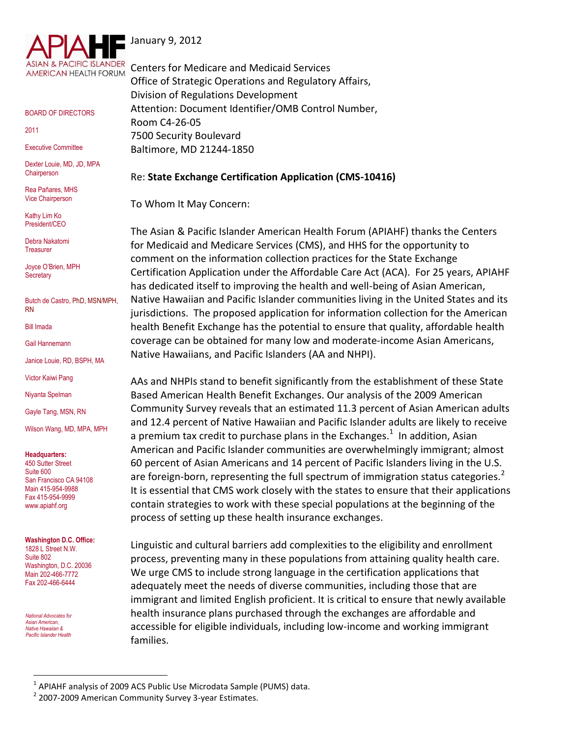

BOARD OF DIRECTORS

2011

Executive Committee

Dexter Louie, MD, JD, MPA **Chairperson** 

Rea Pañares, MHS Vice Chairperson

Kathy Lim Ko President/CEO

Debra Nakatomi **Treasurer** 

Joyce O'Brien, MPH **Secretary** 

Butch de Castro, PhD, MSN/MPH, RN

Bill Imada

Gail Hannemann

Janice Louie, RD, BSPH, MA

Victor Kaiwi Pang

Niyanta Spelman

Gayle Tang, MSN, RN

Wilson Wang, MD, MPA, MPH

**Headquarters:**

450 Sutter Street Suite 600 San Francisco CA 94108 Main 415-954-9988 Fax 415-954-9999 www.apiahf.org

**Washington D.C. Office:** 1828 L Street N.W. Suite 802 Washington, D.C. 20036 Main 202-466-7772 Fax 202-466-6444

 *National Advocates for Asian American, Native Hawaiian & Pacific Islander Health*

 $\overline{a}$ 

January 9, 2012

Centers for Medicare and Medicaid Services Office of Strategic Operations and Regulatory Affairs, Division of Regulations Development Attention: Document Identifier/OMB Control Number, Room C4-26-05 7500 Security Boulevard Baltimore, MD 21244-1850

### Re: **State Exchange Certification Application (CMS-10416)**

To Whom It May Concern:

The Asian & Pacific Islander American Health Forum (APIAHF) thanks the Centers for Medicaid and Medicare Services (CMS), and HHS for the opportunity to comment on the information collection practices for the State Exchange Certification Application under the Affordable Care Act (ACA). For 25 years, APIAHF has dedicated itself to improving the health and well-being of Asian American, Native Hawaiian and Pacific Islander communities living in the United States and its jurisdictions. The proposed application for information collection for the American health Benefit Exchange has the potential to ensure that quality, affordable health coverage can be obtained for many low and moderate-income Asian Americans, Native Hawaiians, and Pacific Islanders (AA and NHPI).

AAs and NHPIs stand to benefit significantly from the establishment of these State Based American Health Benefit Exchanges. Our analysis of the 2009 American Community Survey reveals that an estimated 11.3 percent of Asian American adults and 12.4 percent of Native Hawaiian and Pacific Islander adults are likely to receive a premium tax credit to purchase plans in the Exchanges.<sup>1</sup> In addition, Asian American and Pacific Islander communities are overwhelmingly immigrant; almost 60 percent of Asian Americans and 14 percent of Pacific Islanders living in the U.S. are foreign-born, representing the full spectrum of immigration status categories. $2$ It is essential that CMS work closely with the states to ensure that their applications contain strategies to work with these special populations at the beginning of the process of setting up these health insurance exchanges.

Linguistic and cultural barriers add complexities to the eligibility and enrollment process, preventing many in these populations from attaining quality health care. We urge CMS to include strong language in the certification applications that adequately meet the needs of diverse communities, including those that are immigrant and limited English proficient. It is critical to ensure that newly available health insurance plans purchased through the exchanges are affordable and accessible for eligible individuals, including low-income and working immigrant families.

 $^1$  APIAHF analysis of 2009 ACS Public Use Microdata Sample (PUMS) data.

<sup>&</sup>lt;sup>2</sup> 2007-2009 American Community Survey 3-year Estimates.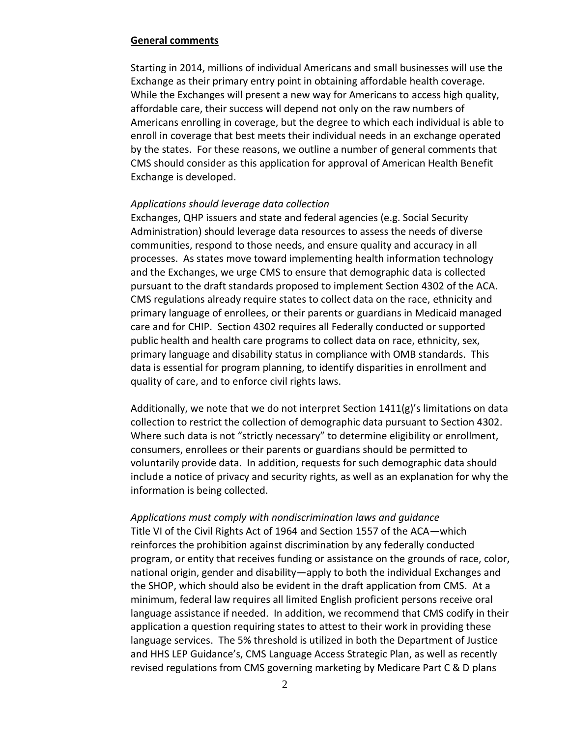#### **General comments**

Starting in 2014, millions of individual Americans and small businesses will use the Exchange as their primary entry point in obtaining affordable health coverage. While the Exchanges will present a new way for Americans to access high quality, affordable care, their success will depend not only on the raw numbers of Americans enrolling in coverage, but the degree to which each individual is able to enroll in coverage that best meets their individual needs in an exchange operated by the states. For these reasons, we outline a number of general comments that CMS should consider as this application for approval of American Health Benefit Exchange is developed.

#### *Applications should leverage data collection*

Exchanges, QHP issuers and state and federal agencies (e.g. Social Security Administration) should leverage data resources to assess the needs of diverse communities, respond to those needs, and ensure quality and accuracy in all processes. As states move toward implementing health information technology and the Exchanges, we urge CMS to ensure that demographic data is collected pursuant to the draft standards proposed to implement Section 4302 of the ACA. CMS regulations already require states to collect data on the race, ethnicity and primary language of enrollees, or their parents or guardians in Medicaid managed care and for CHIP. Section 4302 requires all Federally conducted or supported public health and health care programs to collect data on race, ethnicity, sex, primary language and disability status in compliance with OMB standards. This data is essential for program planning, to identify disparities in enrollment and quality of care, and to enforce civil rights laws.

Additionally, we note that we do not interpret Section 1411(g)'s limitations on data collection to restrict the collection of demographic data pursuant to Section 4302. Where such data is not "strictly necessary" to determine eligibility or enrollment, consumers, enrollees or their parents or guardians should be permitted to voluntarily provide data. In addition, requests for such demographic data should include a notice of privacy and security rights, as well as an explanation for why the information is being collected.

### *Applications must comply with nondiscrimination laws and guidance*

Title VI of the Civil Rights Act of 1964 and Section 1557 of the ACA—which reinforces the prohibition against discrimination by any federally conducted program, or entity that receives funding or assistance on the grounds of race, color, national origin, gender and disability—apply to both the individual Exchanges and the SHOP, which should also be evident in the draft application from CMS. At a minimum, federal law requires all limited English proficient persons receive oral language assistance if needed. In addition, we recommend that CMS codify in their application a question requiring states to attest to their work in providing these language services. The 5% threshold is utilized in both the Department of Justice and HHS LEP Guidance's, CMS Language Access Strategic Plan, as well as recently revised regulations from CMS governing marketing by Medicare Part C & D plans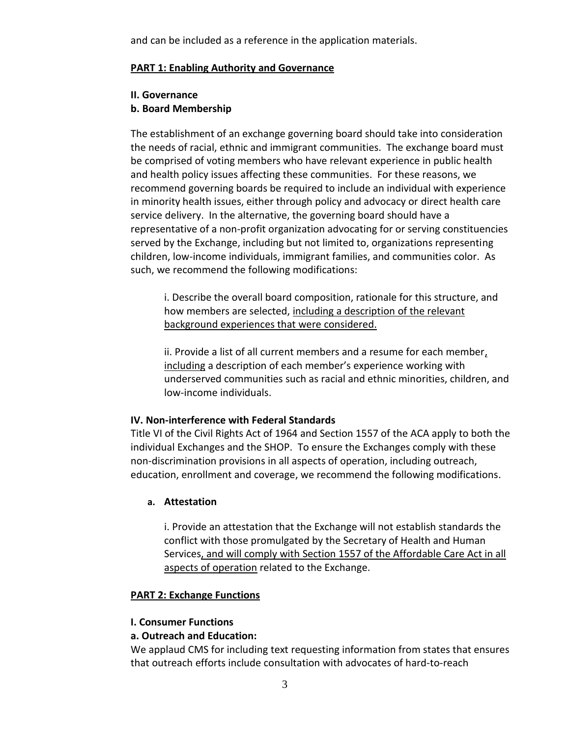and can be included as a reference in the application materials.

# **PART 1: Enabling Authority and Governance**

### **II. Governance**

# **b. Board Membership**

The establishment of an exchange governing board should take into consideration the needs of racial, ethnic and immigrant communities. The exchange board must be comprised of voting members who have relevant experience in public health and health policy issues affecting these communities. For these reasons, we recommend governing boards be required to include an individual with experience in minority health issues, either through policy and advocacy or direct health care service delivery. In the alternative, the governing board should have a representative of a non-profit organization advocating for or serving constituencies served by the Exchange, including but not limited to, organizations representing children, low-income individuals, immigrant families, and communities color. As such, we recommend the following modifications:

i. Describe the overall board composition, rationale for this structure, and how members are selected, including a description of the relevant background experiences that were considered.

ii. Provide a list of all current members and a resume for each member, including a description of each member's experience working with underserved communities such as racial and ethnic minorities, children, and low-income individuals.

# **IV. Non-interference with Federal Standards**

Title VI of the Civil Rights Act of 1964 and Section 1557 of the ACA apply to both the individual Exchanges and the SHOP. To ensure the Exchanges comply with these non-discrimination provisions in all aspects of operation, including outreach, education, enrollment and coverage, we recommend the following modifications.

# **a. Attestation**

i. Provide an attestation that the Exchange will not establish standards the conflict with those promulgated by the Secretary of Health and Human Services, and will comply with Section 1557 of the Affordable Care Act in all aspects of operation related to the Exchange.

# **PART 2: Exchange Functions**

# **I. Consumer Functions**

# **a. Outreach and Education:**

We applaud CMS for including text requesting information from states that ensures that outreach efforts include consultation with advocates of hard-to-reach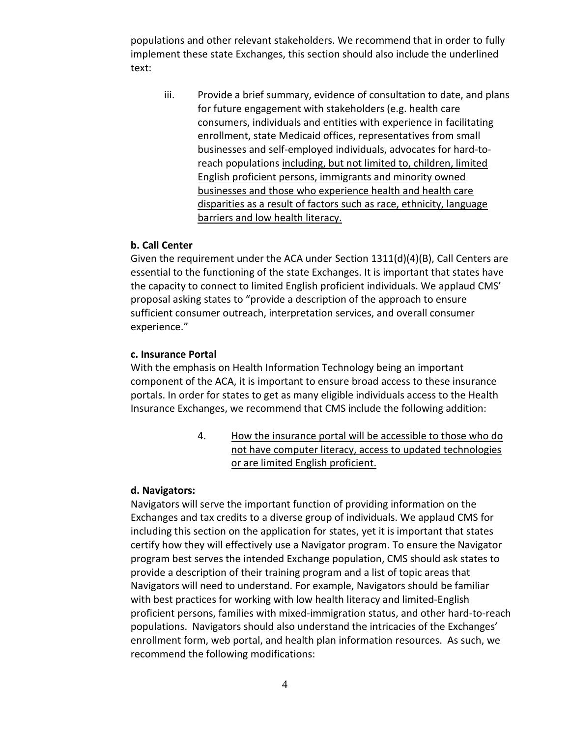populations and other relevant stakeholders. We recommend that in order to fully implement these state Exchanges, this section should also include the underlined text:

iii. Provide a brief summary, evidence of consultation to date, and plans for future engagement with stakeholders (e.g. health care consumers, individuals and entities with experience in facilitating enrollment, state Medicaid offices, representatives from small businesses and self-employed individuals, advocates for hard-toreach populations including, but not limited to, children, limited English proficient persons, immigrants and minority owned businesses and those who experience health and health care disparities as a result of factors such as race, ethnicity, language barriers and low health literacy.

### **b. Call Center**

Given the requirement under the ACA under Section 1311(d)(4)(B), Call Centers are essential to the functioning of the state Exchanges. It is important that states have the capacity to connect to limited English proficient individuals. We applaud CMS' proposal asking states to "provide a description of the approach to ensure sufficient consumer outreach, interpretation services, and overall consumer experience."

### **c. Insurance Portal**

With the emphasis on Health Information Technology being an important component of the ACA, it is important to ensure broad access to these insurance portals. In order for states to get as many eligible individuals access to the Health Insurance Exchanges, we recommend that CMS include the following addition:

> 4. How the insurance portal will be accessible to those who do not have computer literacy, access to updated technologies or are limited English proficient.

#### **d. Navigators:**

Navigators will serve the important function of providing information on the Exchanges and tax credits to a diverse group of individuals. We applaud CMS for including this section on the application for states, yet it is important that states certify how they will effectively use a Navigator program. To ensure the Navigator program best serves the intended Exchange population, CMS should ask states to provide a description of their training program and a list of topic areas that Navigators will need to understand. For example, Navigators should be familiar with best practices for working with low health literacy and limited-English proficient persons, families with mixed-immigration status, and other hard-to-reach populations. Navigators should also understand the intricacies of the Exchanges' enrollment form, web portal, and health plan information resources. As such, we recommend the following modifications: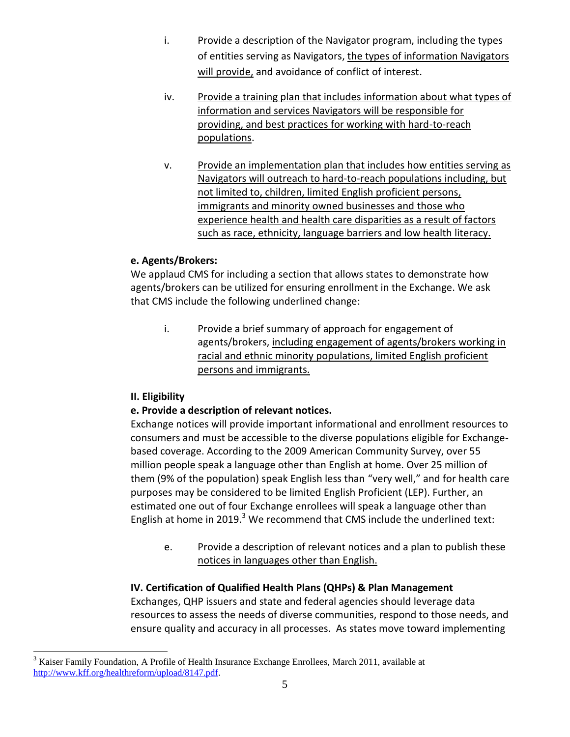- i. Provide a description of the Navigator program, including the types of entities serving as Navigators, the types of information Navigators will provide, and avoidance of conflict of interest.
- iv. Provide a training plan that includes information about what types of information and services Navigators will be responsible for providing, and best practices for working with hard-to-reach populations.
- v. Provide an implementation plan that includes how entities serving as Navigators will outreach to hard-to-reach populations including, but not limited to, children, limited English proficient persons, immigrants and minority owned businesses and those who experience health and health care disparities as a result of factors such as race, ethnicity, language barriers and low health literacy.

# **e. Agents/Brokers:**

We applaud CMS for including a section that allows states to demonstrate how agents/brokers can be utilized for ensuring enrollment in the Exchange. We ask that CMS include the following underlined change:

i. Provide a brief summary of approach for engagement of agents/brokers, including engagement of agents/brokers working in racial and ethnic minority populations, limited English proficient persons and immigrants.

# **II. Eligibility**

 $\overline{a}$ 

# **e. Provide a description of relevant notices.**

Exchange notices will provide important informational and enrollment resources to consumers and must be accessible to the diverse populations eligible for Exchangebased coverage. According to the 2009 American Community Survey, over 55 million people speak a language other than English at home. Over 25 million of them (9% of the population) speak English less than "very well," and for health care purposes may be considered to be limited English Proficient (LEP). Further, an estimated one out of four Exchange enrollees will speak a language other than English at home in 2019. $3$  We recommend that CMS include the underlined text:

e. Provide a description of relevant notices and a plan to publish these notices in languages other than English.

# **IV. Certification of Qualified Health Plans (QHPs) & Plan Management**

Exchanges, QHP issuers and state and federal agencies should leverage data resources to assess the needs of diverse communities, respond to those needs, and ensure quality and accuracy in all processes. As states move toward implementing

<sup>&</sup>lt;sup>3</sup> Kaiser Family Foundation, A Profile of Health Insurance Exchange Enrollees, March 2011, available at [http://www.kff.org/healthreform/upload/8147.pdf.](http://www.kff.org/healthreform/upload/8147.pdf)